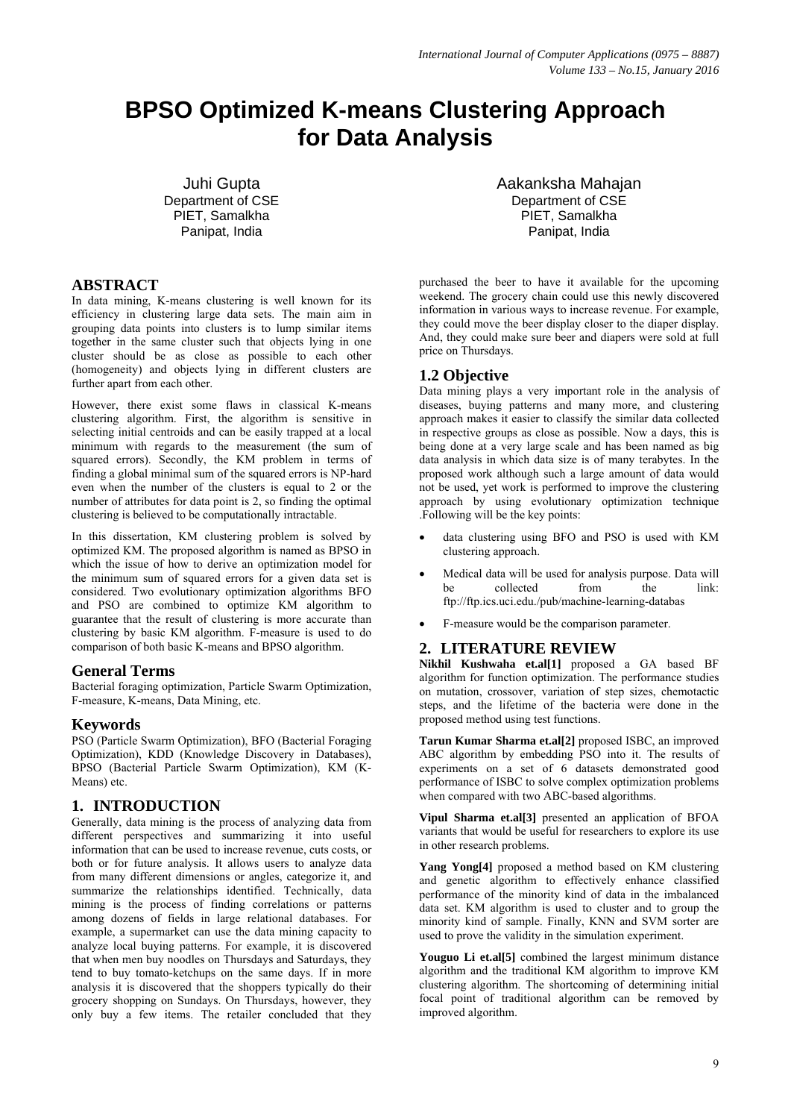# **BPSO Optimized K-means Clustering Approach for Data Analysis**

Juhi Gupta Department of CSE PIET, Samalkha Panipat, India

# **ABSTRACT**

In data mining, K-means clustering is well known for its efficiency in clustering large data sets. The main aim in grouping data points into clusters is to lump similar items together in the same cluster such that objects lying in one cluster should be as close as possible to each other (homogeneity) and objects lying in different clusters are further apart from each other.

However, there exist some flaws in classical K-means clustering algorithm. First, the algorithm is sensitive in selecting initial centroids and can be easily trapped at a local minimum with regards to the measurement (the sum of squared errors). Secondly, the KM problem in terms of finding a global minimal sum of the squared errors is NP-hard even when the number of the clusters is equal to 2 or the number of attributes for data point is 2, so finding the optimal clustering is believed to be computationally intractable.

In this dissertation, KM clustering problem is solved by optimized KM. The proposed algorithm is named as BPSO in which the issue of how to derive an optimization model for the minimum sum of squared errors for a given data set is considered. Two evolutionary optimization algorithms BFO and PSO are combined to optimize KM algorithm to guarantee that the result of clustering is more accurate than clustering by basic KM algorithm. F-measure is used to do comparison of both basic K-means and BPSO algorithm.

# **General Terms**

Bacterial foraging optimization, Particle Swarm Optimization, F-measure, K-means, Data Mining, etc.

#### **Keywords**

PSO (Particle Swarm Optimization), BFO (Bacterial Foraging Optimization), KDD (Knowledge Discovery in Databases), BPSO (Bacterial Particle Swarm Optimization), KM (K-Means) etc.

# **1. INTRODUCTION**

Generally, data mining is the process of analyzing data from different perspectives and summarizing it into useful information that can be used to increase revenue, cuts costs, or both or for future analysis. It allows users to analyze data from many different dimensions or angles, categorize it, and summarize the relationships identified. Technically, data mining is the process of finding correlations or patterns among dozens of fields in large relational databases. For example, a supermarket can use the data mining capacity to analyze local buying patterns. For example, it is discovered that when men buy noodles on Thursdays and Saturdays, they tend to buy tomato-ketchups on the same days. If in more analysis it is discovered that the shoppers typically do their grocery shopping on Sundays. On Thursdays, however, they only buy a few items. The retailer concluded that they

Aakanksha Mahajan Department of CSE PIET, Samalkha Panipat, India

purchased the beer to have it available for the upcoming weekend. The grocery chain could use this newly discovered information in various ways to increase revenue. For example, they could move the beer display closer to the diaper display. And, they could make sure beer and diapers were sold at full price on Thursdays.

# **1.2 Objective**

Data mining plays a very important role in the analysis of diseases, buying patterns and many more, and clustering approach makes it easier to classify the similar data collected in respective groups as close as possible. Now a days, this is being done at a very large scale and has been named as big data analysis in which data size is of many terabytes. In the proposed work although such a large amount of data would not be used, yet work is performed to improve the clustering approach by using evolutionary optimization technique .Following will be the key points:

- data clustering using BFO and PSO is used with KM clustering approach.
- Medical data will be used for analysis purpose. Data will be collected from the link: ftp://ftp.ics.uci.edu./pub/machine-learning-databas
- F-measure would be the comparison parameter.

# **2. LITERATURE REVIEW**

**Nikhil Kushwaha et.al[1]** proposed a GA based BF algorithm for function optimization. The performance studies on mutation, crossover, variation of step sizes, chemotactic steps, and the lifetime of the bacteria were done in the proposed method using test functions.

**Tarun Kumar Sharma et.al[2]** proposed ISBC, an improved ABC algorithm by embedding PSO into it. The results of experiments on a set of 6 datasets demonstrated good performance of ISBC to solve complex optimization problems when compared with two ABC-based algorithms.

**Vipul Sharma et.al[3]** presented an application of BFOA variants that would be useful for researchers to explore its use in other research problems.

**Yang Yong[4]** proposed a method based on KM clustering and genetic algorithm to effectively enhance classified performance of the minority kind of data in the imbalanced data set. KM algorithm is used to cluster and to group the minority kind of sample. Finally, KNN and SVM sorter are used to prove the validity in the simulation experiment.

**Youguo Li et.al[5]** combined the largest minimum distance algorithm and the traditional KM algorithm to improve KM clustering algorithm. The shortcoming of determining initial focal point of traditional algorithm can be removed by improved algorithm.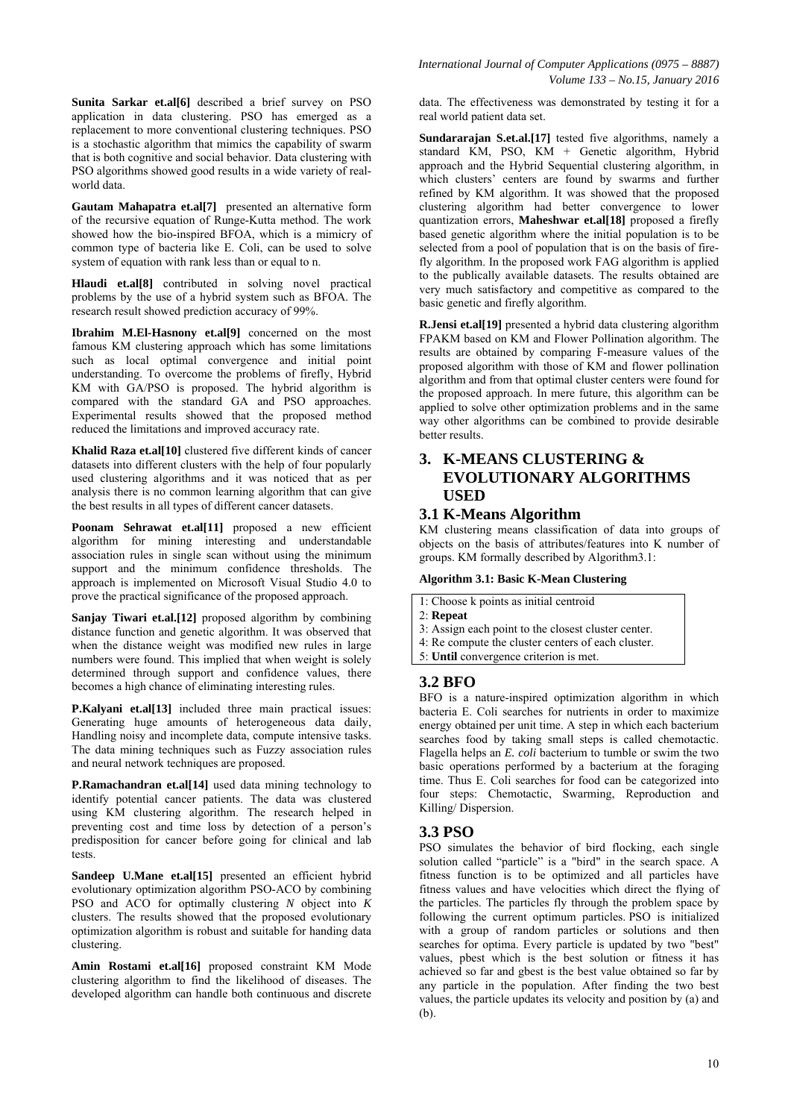**Sunita Sarkar et.al[6]** described a brief survey on PSO application in data clustering. PSO has emerged as a replacement to more conventional clustering techniques. PSO is a stochastic algorithm that mimics the capability of swarm that is both cognitive and social behavior. Data clustering with PSO algorithms showed good results in a wide variety of realworld data.

**Gautam Mahapatra et.al[7]** presented an alternative form of the recursive equation of Runge-Kutta method. The work showed how the bio-inspired BFOA, which is a mimicry of common type of bacteria like E. Coli, can be used to solve system of equation with rank less than or equal to n.

**Hlaudi et.al[8]** contributed in solving novel practical problems by the use of a hybrid system such as BFOA. The research result showed prediction accuracy of 99%.

**Ibrahim M.El-Hasnony et.al[9]** concerned on the most famous KM clustering approach which has some limitations such as local optimal convergence and initial point understanding. To overcome the problems of firefly, Hybrid KM with GA/PSO is proposed. The hybrid algorithm is compared with the standard GA and PSO approaches. Experimental results showed that the proposed method reduced the limitations and improved accuracy rate.

**Khalid Raza et.al[10]** clustered five different kinds of cancer datasets into different clusters with the help of four popularly used clustering algorithms and it was noticed that as per analysis there is no common learning algorithm that can give the best results in all types of different cancer datasets.

Poonam Sehrawat et.al<sup>[11]</sup> proposed a new efficient algorithm for mining interesting and understandable association rules in single scan without using the minimum support and the minimum confidence thresholds. The approach is implemented on Microsoft Visual Studio 4.0 to prove the practical significance of the proposed approach.

**Sanjay Tiwari et.al.[12]** proposed algorithm by combining distance function and genetic algorithm. It was observed that when the distance weight was modified new rules in large numbers were found. This implied that when weight is solely determined through support and confidence values, there becomes a high chance of eliminating interesting rules.

**P.Kalyani et.al[13]** included three main practical issues: Generating huge amounts of heterogeneous data daily, Handling noisy and incomplete data, compute intensive tasks. The data mining techniques such as Fuzzy association rules and neural network techniques are proposed.

**P.Ramachandran et.al[14]** used data mining technology to identify potential cancer patients. The data was clustered using KM clustering algorithm. The research helped in preventing cost and time loss by detection of a person's predisposition for cancer before going for clinical and lab tests.

**Sandeep U.Mane et.al[15]** presented an efficient hybrid evolutionary optimization algorithm PSO-ACO by combining PSO and ACO for optimally clustering *N* object into *K*  clusters. The results showed that the proposed evolutionary optimization algorithm is robust and suitable for handing data clustering.

**Amin Rostami et.al[16]** proposed constraint KM Mode clustering algorithm to find the likelihood of diseases. The developed algorithm can handle both continuous and discrete *International Journal of Computer Applications (0975 – 8887) Volume 133 – No.15, January 2016* 

data. The effectiveness was demonstrated by testing it for a real world patient data set.

**Sundararajan S.et.al.[17]** tested five algorithms, namely a standard KM, PSO, KM + Genetic algorithm, Hybrid approach and the Hybrid Sequential clustering algorithm, in which clusters' centers are found by swarms and further refined by KM algorithm. It was showed that the proposed clustering algorithm had better convergence to lower quantization errors, **Maheshwar et.al[18]** proposed a firefly based genetic algorithm where the initial population is to be selected from a pool of population that is on the basis of firefly algorithm. In the proposed work FAG algorithm is applied to the publically available datasets. The results obtained are very much satisfactory and competitive as compared to the basic genetic and firefly algorithm.

**R.Jensi et.al[19]** presented a hybrid data clustering algorithm FPAKM based on KM and Flower Pollination algorithm. The results are obtained by comparing F-measure values of the proposed algorithm with those of KM and flower pollination algorithm and from that optimal cluster centers were found for the proposed approach. In mere future, this algorithm can be applied to solve other optimization problems and in the same way other algorithms can be combined to provide desirable better results.

# **3. K-MEANS CLUSTERING & EVOLUTIONARY ALGORITHMS USED**

#### **3.1 K-Means Algorithm**

KM clustering means classification of data into groups of objects on the basis of attributes/features into K number of groups. KM formally described by Algorithm3.1:

#### **Algorithm 3.1: Basic K-Mean Clustering**

# 1: Choose k points as initial centroid

- 2: **Repeat**
- 3: Assign each point to the closest cluster center.
- 4: Re compute the cluster centers of each cluster.
- 5: **Until** convergence criterion is met.

#### **3.2 BFO**

BFO is a nature-inspired optimization algorithm in which bacteria E. Coli searches for nutrients in order to maximize energy obtained per unit time. A step in which each bacterium searches food by taking small steps is called chemotactic. Flagella helps an *E. coli* bacterium to tumble or swim the two basic operations performed by a bacterium at the foraging time. Thus E. Coli searches for food can be categorized into four steps: Chemotactic, Swarming, Reproduction and Killing/ Dispersion.

#### **3.3 PSO**

PSO simulates the behavior of bird flocking, each single solution called "particle" is a "bird" in the search space. A fitness function is to be optimized and all particles have fitness values and have velocities which direct the flying of the particles. The particles fly through the problem space by following the current optimum particles. PSO is initialized with a group of random particles or solutions and then searches for optima. Every particle is updated by two "best" values, pbest which is the best solution or fitness it has achieved so far and gbest is the best value obtained so far by any particle in the population. After finding the two best values, the particle updates its velocity and position by (a) and (b).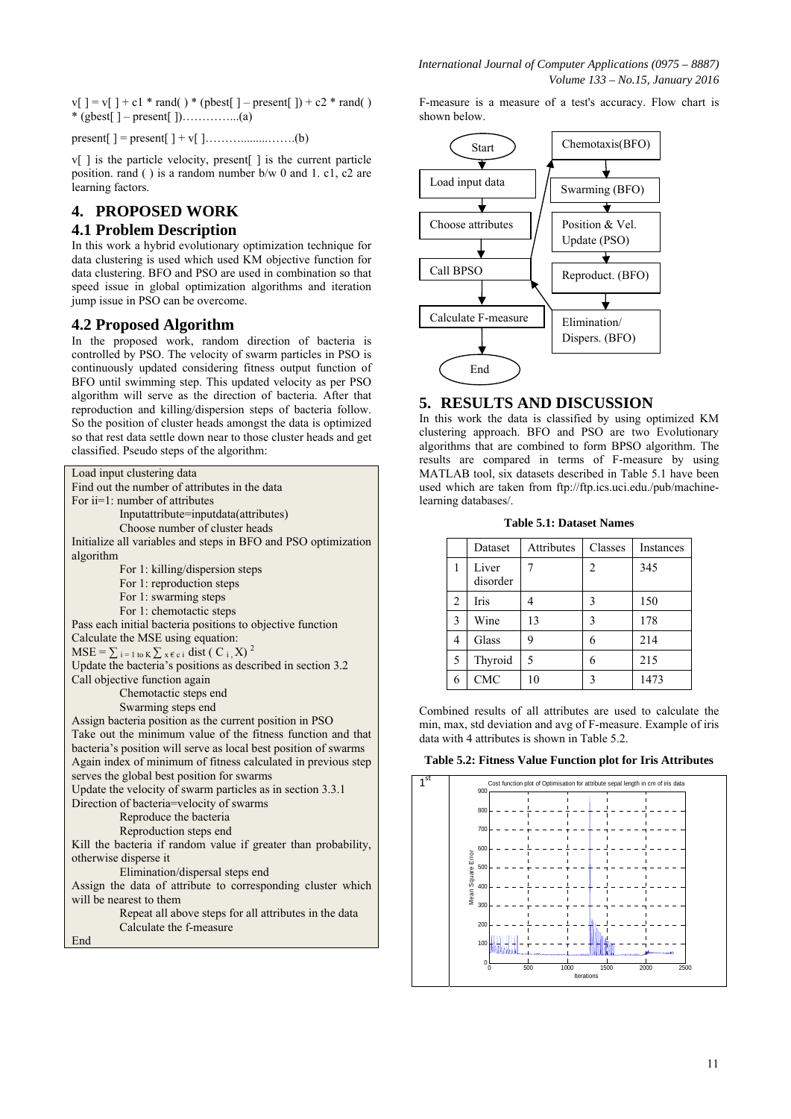$v[$   $] = v[$   $] + c1$  \* rand( ) \* (pbest[  $]$  – present[  $]$ ) + c2 \* rand( ) \* (gbest[ ] – present[ ])…………...(a)

present[ ] = present[ ] + v[ ]……….........…….(b)

 $v[i]$  is the particle velocity, present  $[i]$  is the current particle position. rand ( ) is a random number b/w 0 and 1. c1, c2 are learning factors.

# **4. PROPOSED WORK**

# **4.1 Problem Description**

In this work a hybrid evolutionary optimization technique for data clustering is used which used KM objective function for data clustering. BFO and PSO are used in combination so that speed issue in global optimization algorithms and iteration jump issue in PSO can be overcome.

# **4.2 Proposed Algorithm**

In the proposed work, random direction of bacteria is controlled by PSO. The velocity of swarm particles in PSO is continuously updated considering fitness output function of BFO until swimming step. This updated velocity as per PSO algorithm will serve as the direction of bacteria. After that reproduction and killing/dispersion steps of bacteria follow. So the position of cluster heads amongst the data is optimized so that rest data settle down near to those cluster heads and get classified. Pseudo steps of the algorithm:

| Load input clustering data                                       |  |  |  |  |  |  |  |
|------------------------------------------------------------------|--|--|--|--|--|--|--|
| Find out the number of attributes in the data                    |  |  |  |  |  |  |  |
| For $ii=1$ : number of attributes                                |  |  |  |  |  |  |  |
| Inputattribute=inputdata(attributes)                             |  |  |  |  |  |  |  |
| Choose number of cluster heads                                   |  |  |  |  |  |  |  |
| Initialize all variables and steps in BFO and PSO optimization   |  |  |  |  |  |  |  |
| algorithm                                                        |  |  |  |  |  |  |  |
| For 1: killing/dispersion steps                                  |  |  |  |  |  |  |  |
| For 1: reproduction steps                                        |  |  |  |  |  |  |  |
| For 1: swarming steps                                            |  |  |  |  |  |  |  |
| For 1: chemotactic steps                                         |  |  |  |  |  |  |  |
| Pass each initial bacteria positions to objective function       |  |  |  |  |  |  |  |
| Calculate the MSE using equation:                                |  |  |  |  |  |  |  |
| $MSE = \sum_{i=1 \text{ to } K} \sum_{x \in c_i} dist(C_i, X)^2$ |  |  |  |  |  |  |  |
| Update the bacteria's positions as described in section 3.2      |  |  |  |  |  |  |  |
| Call objective function again                                    |  |  |  |  |  |  |  |
| Chemotactic steps end                                            |  |  |  |  |  |  |  |
| Swarming steps end                                               |  |  |  |  |  |  |  |
| Assign bacteria position as the current position in PSO          |  |  |  |  |  |  |  |
| Take out the minimum value of the fitness function and that      |  |  |  |  |  |  |  |
| bacteria's position will serve as local best position of swarms  |  |  |  |  |  |  |  |
| Again index of minimum of fitness calculated in previous step    |  |  |  |  |  |  |  |
| serves the global best position for swarms                       |  |  |  |  |  |  |  |
| Update the velocity of swarm particles as in section 3.3.1       |  |  |  |  |  |  |  |
| Direction of bacteria=velocity of swarms                         |  |  |  |  |  |  |  |
| Reproduce the bacteria                                           |  |  |  |  |  |  |  |
| Reproduction steps end                                           |  |  |  |  |  |  |  |
| Kill the bacteria if random value if greater than probability,   |  |  |  |  |  |  |  |
| otherwise disperse it                                            |  |  |  |  |  |  |  |
| Elimination/dispersal steps end                                  |  |  |  |  |  |  |  |
| Assign the data of attribute to corresponding cluster which      |  |  |  |  |  |  |  |
| will be nearest to them                                          |  |  |  |  |  |  |  |
| Repeat all above steps for all attributes in the data            |  |  |  |  |  |  |  |
| Calculate the f-measure                                          |  |  |  |  |  |  |  |
| End                                                              |  |  |  |  |  |  |  |

F-measure is a measure of a test's accuracy. Flow chart is shown below.



### **5. RESULTS AND DISCUSSION**

In this work the data is classified by using optimized KM clustering approach. BFO and PSO are two Evolutionary algorithms that are combined to form BPSO algorithm. The results are compared in terms of F-measure by using MATLAB tool, six datasets described in Table 5.1 have been used which are taken from ftp://ftp.ics.uci.edu./pub/machinelearning databases/.

**Table 5.1: Dataset Names** 

|   | Dataset           | Attributes | Classes | Instances |
|---|-------------------|------------|---------|-----------|
|   | Liver<br>disorder |            | 2       | 345       |
| 2 | Iris              |            | 3       | 150       |
| 3 | Wine              | 13         | 3       | 178       |
| 4 | Glass             | 9          | 6       | 214       |
| 5 | Thyroid           | 5          | 6       | 215       |
| 6 | <b>CMC</b>        | 10         | 3       | 1473      |

Combined results of all attributes are used to calculate the min, max, std deviation and avg of F-measure. Example of iris data with 4 attributes is shown in Table 5.2.

**Table 5.2: Fitness Value Function plot for Iris Attributes** 

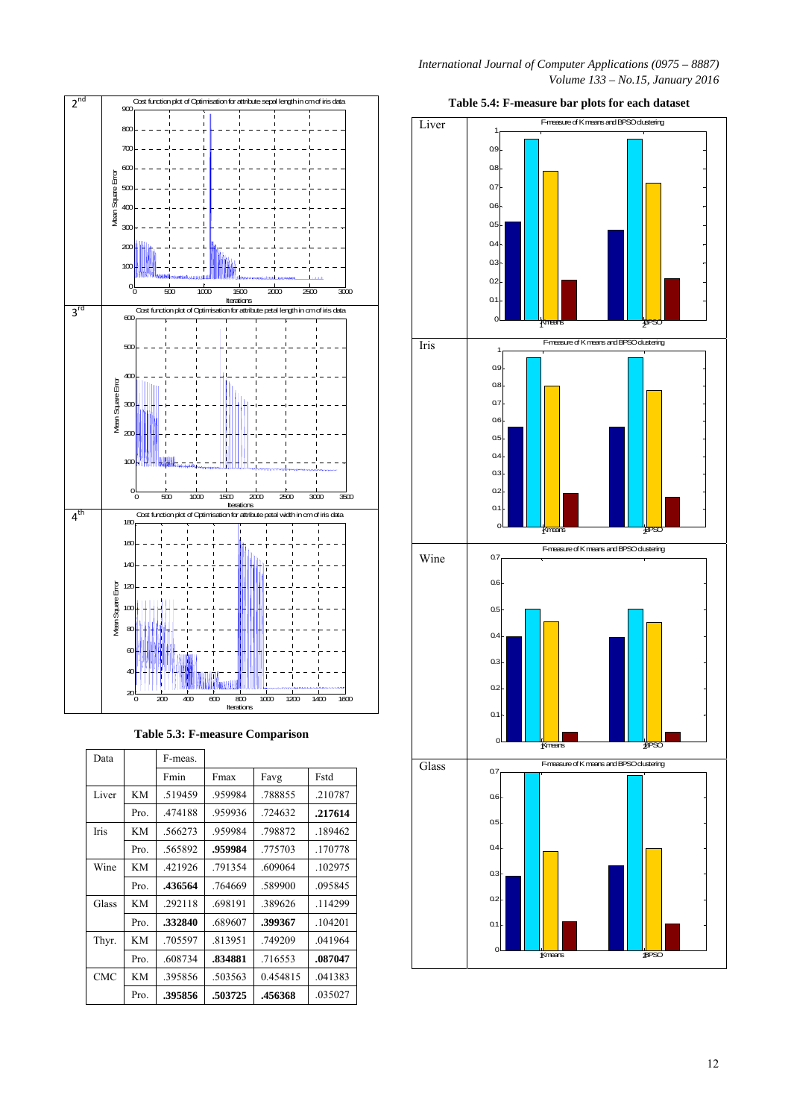

**Table 5.3: F-measure Comparison** 

| Data        |           | F-meas. |         |          |         |
|-------------|-----------|---------|---------|----------|---------|
|             |           | Fmin    | Fmax    | Favg     | Fstd    |
| Liver       | KM        | .519459 | .959984 | .788855  | .210787 |
|             | Pro.      | .474188 | .959936 | .724632  | .217614 |
| <b>Iris</b> | <b>KM</b> | .566273 | .959984 | .798872  | .189462 |
|             | Pro.      | .565892 | .959984 | .775703  | .170778 |
| Wine        | KM        | .421926 | .791354 | .609064  | .102975 |
|             | Pro.      | .436564 | .764669 | .589900  | .095845 |
| Glass       | KM        | .292118 | .698191 | .389626  | .114299 |
|             | Pro.      | .332840 | .689607 | .399367  | .104201 |
| Thyr.       | <b>KM</b> | .705597 | .813951 | .749209  | .041964 |
|             | Pro.      | .608734 | .834881 | .716553  | .087047 |
| <b>CMC</b>  | KM        | .395856 | .503563 | 0.454815 | .041383 |
|             | Pro.      | .395856 | .503725 | .456368  | .035027 |



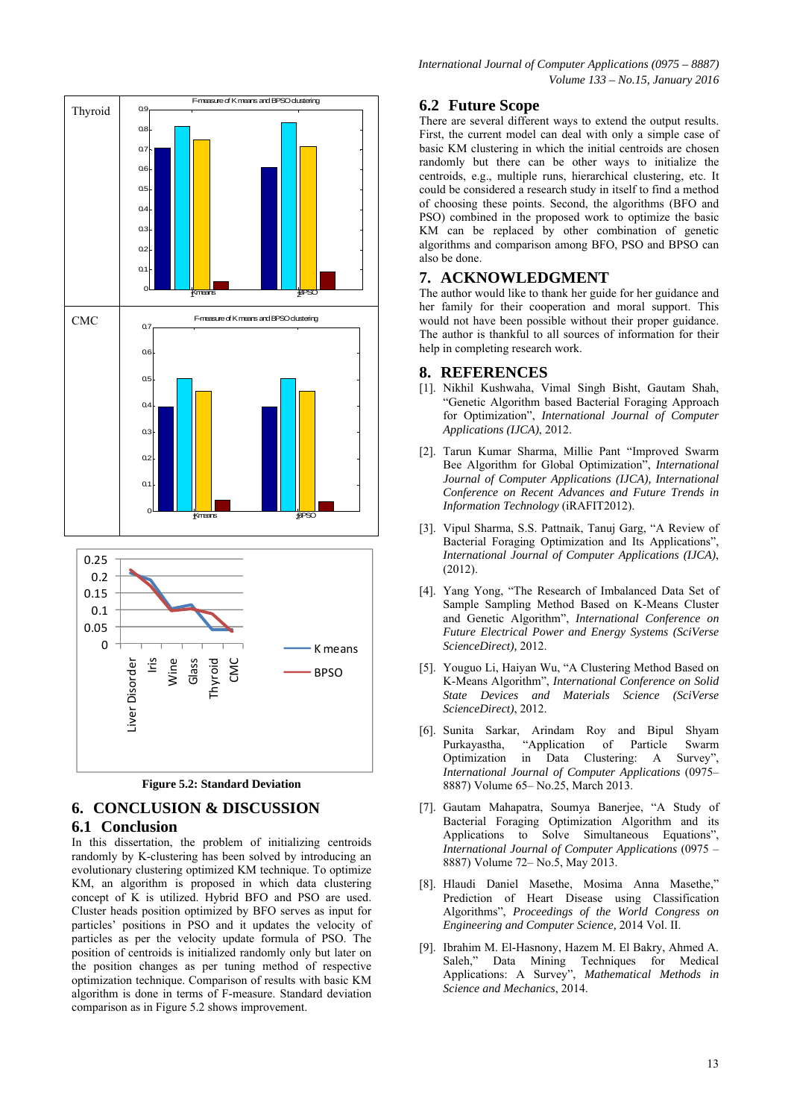



# **6. CONCLUSION & DISCUSSION**

#### **6.1 Conclusion**

In this dissertation, the problem of initializing centroids randomly by K-clustering has been solved by introducing an evolutionary clustering optimized KM technique. To optimize KM, an algorithm is proposed in which data clustering concept of K is utilized. Hybrid BFO and PSO are used. Cluster heads position optimized by BFO serves as input for particles' positions in PSO and it updates the velocity of particles as per the velocity update formula of PSO. The position of centroids is initialized randomly only but later on the position changes as per tuning method of respective optimization technique. Comparison of results with basic KM algorithm is done in terms of F-measure. Standard deviation comparison as in Figure 5.2 shows improvement.

# **6.2 Future Scope**

There are several different ways to extend the output results. First, the current model can deal with only a simple case of basic KM clustering in which the initial centroids are chosen randomly but there can be other ways to initialize the centroids, e.g., multiple runs, hierarchical clustering, etc. It could be considered a research study in itself to find a method of choosing these points. Second, the algorithms (BFO and PSO) combined in the proposed work to optimize the basic KM can be replaced by other combination of genetic algorithms and comparison among BFO, PSO and BPSO can also be done.

#### **7. ACKNOWLEDGMENT**

The author would like to thank her guide for her guidance and her family for their cooperation and moral support. This would not have been possible without their proper guidance. The author is thankful to all sources of information for their help in completing research work.

#### **8. REFERENCES**

- [1]. Nikhil Kushwaha, Vimal Singh Bisht, Gautam Shah, "Genetic Algorithm based Bacterial Foraging Approach for Optimization", *International Journal of Computer Applications (IJCA)*, 2012.
- [2]. Tarun Kumar Sharma, Millie Pant "Improved Swarm Bee Algorithm for Global Optimization", *International Journal of Computer Applications (IJCA), International Conference on Recent Advances and Future Trends in Information Technology* (iRAFIT2012).
- [3]. Vipul Sharma, S.S. Pattnaik, Tanuj Garg, "A Review of Bacterial Foraging Optimization and Its Applications", *International Journal of Computer Applications (IJCA)*, (2012).
- [4]. Yang Yong, "The Research of Imbalanced Data Set of Sample Sampling Method Based on K-Means Cluster and Genetic Algorithm", *International Conference on Future Electrical Power and Energy Systems (SciVerse ScienceDirect),* 2012.
- [5]. Youguo Li, Haiyan Wu, "A Clustering Method Based on K-Means Algorithm", *International Conference on Solid State Devices and Materials Science (SciVerse ScienceDirect)*, 2012.
- [6]. Sunita Sarkar, Arindam Roy and Bipul Shyam Purkayastha, "Application of Particle Swarm Optimization in Data Clustering: A Survey", *International Journal of Computer Applications* (0975– 8887) Volume 65– No.25, March 2013.
- [7]. Gautam Mahapatra, Soumya Banerjee, "A Study of Bacterial Foraging Optimization Algorithm and its Applications to Solve Simultaneous Equations", *International Journal of Computer Applications* (0975 – 8887) Volume 72– No.5, May 2013.
- [8]. Hlaudi Daniel Masethe, Mosima Anna Masethe," Prediction of Heart Disease using Classification Algorithms", *Proceedings of the World Congress on Engineering and Computer Science,* 2014 Vol. II.
- [9]. Ibrahim M. El-Hasnony, Hazem M. El Bakry, Ahmed A. Saleh," Data Mining Techniques for Medical Applications: A Survey", *Mathematical Methods in Science and Mechanics*, 2014.